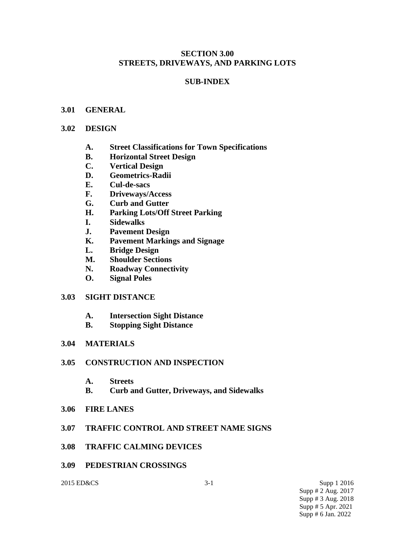#### **SECTION 3.00 STREETS, DRIVEWAYS, AND PARKING LOTS**

## **SUB-INDEX**

#### **3.01 GENERAL**

#### **3.02 DESIGN**

- **A. Street Classifications for Town Specifications**
- **B. Horizontal Street Design**
- **C. Vertical Design**
- **D. Geometrics-Radii**
- **E. Cul-de-sacs**
- **F. Driveways/Access**
- **G. Curb and Gutter**
- **H. Parking Lots/Off Street Parking**
- **I. Sidewalks**
- **J. Pavement Design**
- **K. Pavement Markings and Signage**
- **L. Bridge Design**
- **M. Shoulder Sections**
- **N. Roadway Connectivity**
- **O. Signal Poles**

#### **3.03 SIGHT DISTANCE**

- **A. Intersection Sight Distance**
- **B. Stopping Sight Distance**

#### **3.04 MATERIALS**

#### **3.05 CONSTRUCTION AND INSPECTION**

- **A. Streets**
- **B. Curb and Gutter, Driveways, and Sidewalks**
- **3.06 FIRE LANES**

#### **3.07 TRAFFIC CONTROL AND STREET NAME SIGNS**

- **3.08 TRAFFIC CALMING DEVICES**
- **3.09 PEDESTRIAN CROSSINGS**

2015 ED&CS 3-1 Supp 1 2016 Supp # 2 Aug. 2017 Supp # 3 Aug. 2018 Supp # 5 Apr. 2021 Supp # 6 Jan. 2022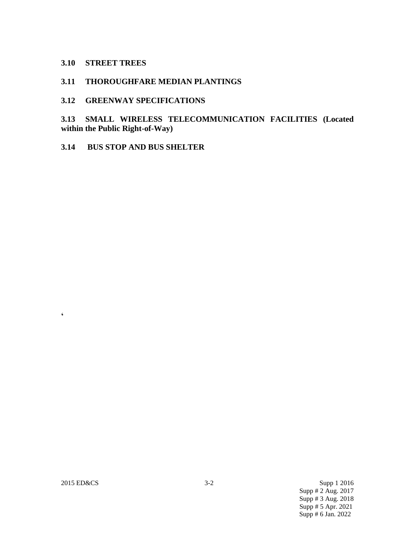#### **3.10 STREET TREES**

#### **3.11 THOROUGHFARE MEDIAN PLANTINGS**

#### **3.12 GREENWAY SPECIFICATIONS**

**3.13 SMALL WIRELESS TELECOMMUNICATION FACILITIES (Located within the Public Right-of-Way)**

**3.14 BUS STOP AND BUS SHELTER**

**'**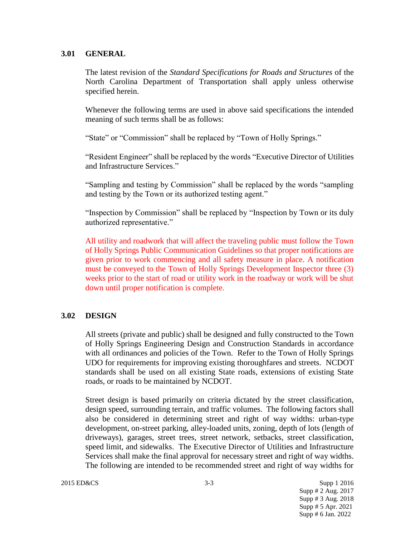#### **3.01 GENERAL**

The latest revision of the *Standard Specifications for Roads and Structures* of the North Carolina Department of Transportation shall apply unless otherwise specified herein.

Whenever the following terms are used in above said specifications the intended meaning of such terms shall be as follows:

"State" or "Commission" shall be replaced by "Town of Holly Springs."

"Resident Engineer" shall be replaced by the words "Executive Director of Utilities and Infrastructure Services."

"Sampling and testing by Commission" shall be replaced by the words "sampling and testing by the Town or its authorized testing agent."

"Inspection by Commission" shall be replaced by "Inspection by Town or its duly authorized representative."

All utility and roadwork that will affect the traveling public must follow the Town of Holly Springs Public Communication Guidelines so that proper notifications are given prior to work commencing and all safety measure in place. A notification must be conveyed to the Town of Holly Springs Development Inspector three (3) weeks prior to the start of road or utility work in the roadway or work will be shut down until proper notification is complete.

## **3.02 DESIGN**

All streets (private and public) shall be designed and fully constructed to the Town of Holly Springs Engineering Design and Construction Standards in accordance with all ordinances and policies of the Town. Refer to the Town of Holly Springs UDO for requirements for improving existing thoroughfares and streets. NCDOT standards shall be used on all existing State roads, extensions of existing State roads, or roads to be maintained by NCDOT.

Street design is based primarily on criteria dictated by the street classification, design speed, surrounding terrain, and traffic volumes. The following factors shall also be considered in determining street and right of way widths: urban-type development, on-street parking, alley-loaded units, zoning, depth of lots (length of driveways), garages, street trees, street network, setbacks, street classification, speed limit, and sidewalks. The Executive Director of Utilities and Infrastructure Services shall make the final approval for necessary street and right of way widths. The following are intended to be recommended street and right of way widths for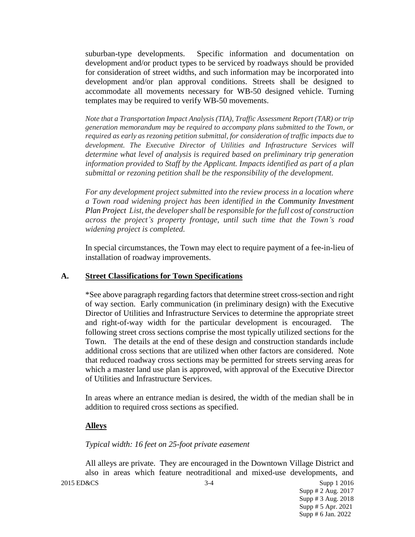suburban-type developments. Specific information and documentation on development and/or product types to be serviced by roadways should be provided for consideration of street widths, and such information may be incorporated into development and/or plan approval conditions. Streets shall be designed to accommodate all movements necessary for WB-50 designed vehicle. Turning templates may be required to verify WB-50 movements.

*Note that a Transportation Impact Analysis (TIA), Traffic Assessment Report (TAR) or trip generation memorandum may be required to accompany plans submitted to the Town, or required as early as rezoning petition submittal, for consideration of traffic impacts due to development. The Executive Director of Utilities and Infrastructure Services will determine what level of analysis is required based on preliminary trip generation information provided to Staff by the Applicant. Impacts identified as part of a plan submittal or rezoning petition shall be the responsibility of the development.* 

*For any development project submitted into the review process in a location where a Town road widening project has been identified in the Community Investment Plan Project List, the developer shall be responsible for the full cost of construction across the project's property frontage, until such time that the Town's road widening project is completed.*

In special circumstances, the Town may elect to require payment of a fee-in-lieu of installation of roadway improvements.

#### **A. Street Classifications for Town Specifications**

\*See above paragraph regarding factors that determine street cross-section and right of way section. Early communication (in preliminary design) with the Executive Director of Utilities and Infrastructure Services to determine the appropriate street and right-of-way width for the particular development is encouraged. The following street cross sections comprise the most typically utilized sections for the Town. The details at the end of these design and construction standards include additional cross sections that are utilized when other factors are considered. Note that reduced roadway cross sections may be permitted for streets serving areas for which a master land use plan is approved, with approval of the Executive Director of Utilities and Infrastructure Services.

In areas where an entrance median is desired, the width of the median shall be in addition to required cross sections as specified.

#### **Alleys**

#### *Typical width: 16 feet on 25-foot private easement*

All alleys are private. They are encouraged in the Downtown Village District and also in areas which feature neotraditional and mixed-use developments, and

2015 ED&CS 3-4 Supp 1 2016 Supp # 2 Aug. 2017 Supp # 3 Aug. 2018 Supp # 5 Apr. 2021 Supp # 6 Jan. 2022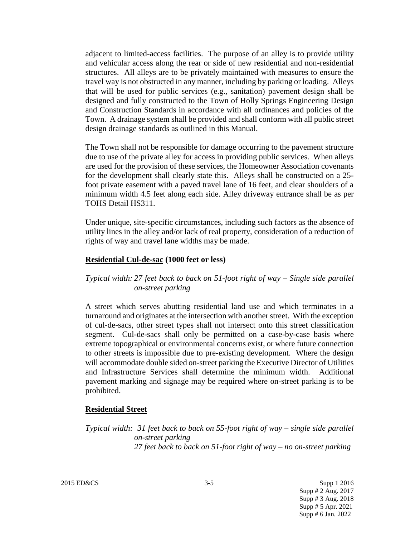adjacent to limited-access facilities. The purpose of an alley is to provide utility and vehicular access along the rear or side of new residential and non-residential structures. All alleys are to be privately maintained with measures to ensure the travel way is not obstructed in any manner, including by parking or loading. Alleys that will be used for public services (e.g., sanitation) pavement design shall be designed and fully constructed to the Town of Holly Springs Engineering Design and Construction Standards in accordance with all ordinances and policies of the Town. A drainage system shall be provided and shall conform with all public street design drainage standards as outlined in this Manual.

The Town shall not be responsible for damage occurring to the pavement structure due to use of the private alley for access in providing public services. When alleys are used for the provision of these services, the Homeowner Association covenants for the development shall clearly state this. Alleys shall be constructed on a 25 foot private easement with a paved travel lane of 16 feet, and clear shoulders of a minimum width 4.5 feet along each side. Alley driveway entrance shall be as per TOHS Detail HS311.

Under unique, site-specific circumstances, including such factors as the absence of utility lines in the alley and/or lack of real property, consideration of a reduction of rights of way and travel lane widths may be made.

#### **Residential Cul-de-sac (1000 feet or less)**

## *Typical width: 27 feet back to back on 51-foot right of way – Single side parallel on-street parking*

A street which serves abutting residential land use and which terminates in a turnaround and originates at the intersection with another street. With the exception of cul-de-sacs, other street types shall not intersect onto this street classification segment. Cul-de-sacs shall only be permitted on a case-by-case basis where extreme topographical or environmental concerns exist, or where future connection to other streets is impossible due to pre-existing development. Where the design will accommodate double sided on-street parking the Executive Director of Utilities and Infrastructure Services shall determine the minimum width. Additional pavement marking and signage may be required where on-street parking is to be prohibited.

#### **Residential Street**

*Typical width: 31 feet back to back on 55-foot right of way – single side parallel on-street parking 27 feet back to back on 51-foot right of way – no on-street parking* 

2015 ED&CS 3-5 Supp 1 2016 Supp # 2 Aug. 2017 Supp # 3 Aug. 2018 Supp # 5 Apr. 2021 Supp # 6 Jan. 2022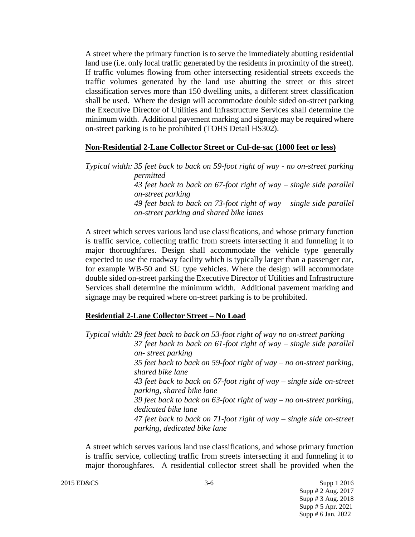A street where the primary function is to serve the immediately abutting residential land use (i.e. only local traffic generated by the residents in proximity of the street). If traffic volumes flowing from other intersecting residential streets exceeds the traffic volumes generated by the land use abutting the street or this street classification serves more than 150 dwelling units, a different street classification shall be used. Where the design will accommodate double sided on-street parking the Executive Director of Utilities and Infrastructure Services shall determine the minimum width. Additional pavement marking and signage may be required where on-street parking is to be prohibited (TOHS Detail HS302).

#### **Non-Residential 2-Lane Collector Street or Cul-de-sac (1000 feet or less)**

*Typical width: 35 feet back to back on 59-foot right of way - no on-street parking permitted 43 feet back to back on 67-foot right of way – single side parallel on-street parking 49 feet back to back on 73-foot right of way – single side parallel on-street parking and shared bike lanes*

A street which serves various land use classifications, and whose primary function is traffic service, collecting traffic from streets intersecting it and funneling it to major thoroughfares. Design shall accommodate the vehicle type generally expected to use the roadway facility which is typically larger than a passenger car, for example WB-50 and SU type vehicles. Where the design will accommodate double sided on-street parking the Executive Director of Utilities and Infrastructure Services shall determine the minimum width. Additional pavement marking and signage may be required where on-street parking is to be prohibited.

#### **Residential 2-Lane Collector Street – No Load**

*Typical width: 29 feet back to back on 53-foot right of way no on-street parking 37 feet back to back on 61-foot right of way – single side parallel on- street parking 35 feet back to back on 59-foot right of way – no on-street parking, shared bike lane 43 feet back to back on 67-foot right of way – single side on-street parking, shared bike lane 39 feet back to back on 63-foot right of way – no on-street parking, dedicated bike lane 47 feet back to back on 71-foot right of way – single side on-street parking, dedicated bike lane*

A street which serves various land use classifications, and whose primary function is traffic service, collecting traffic from streets intersecting it and funneling it to major thoroughfares. A residential collector street shall be provided when the

2015 ED&CS Supp 1 2016 Supp # 2 Aug. 2017 Supp # 3 Aug. 2018 Supp # 5 Apr. 2021 Supp # 6 Jan. 2022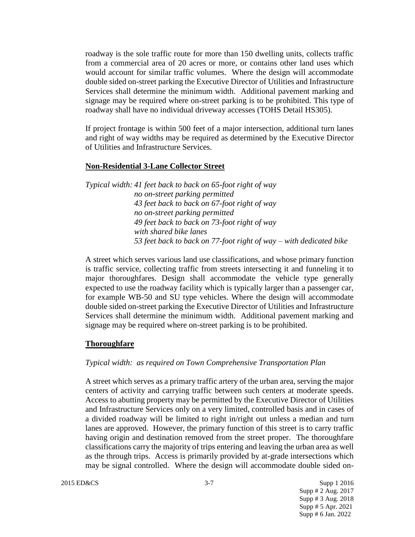roadway is the sole traffic route for more than 150 dwelling units, collects traffic from a commercial area of 20 acres or more, or contains other land uses which would account for similar traffic volumes. Where the design will accommodate double sided on-street parking the Executive Director of Utilities and Infrastructure Services shall determine the minimum width. Additional pavement marking and signage may be required where on-street parking is to be prohibited. This type of roadway shall have no individual driveway accesses (TOHS Detail HS305).

If project frontage is within 500 feet of a major intersection, additional turn lanes and right of way widths may be required as determined by the Executive Director of Utilities and Infrastructure Services.

#### **Non-Residential 3-Lane Collector Street**

*Typical width: 41 feet back to back on 65-foot right of way no on-street parking permitted 43 feet back to back on 67-foot right of way no on-street parking permitted 49 feet back to back on 73-foot right of way with shared bike lanes 53 feet back to back on 77-foot right of way – with dedicated bike*

A street which serves various land use classifications, and whose primary function is traffic service, collecting traffic from streets intersecting it and funneling it to major thoroughfares. Design shall accommodate the vehicle type generally expected to use the roadway facility which is typically larger than a passenger car, for example WB-50 and SU type vehicles. Where the design will accommodate double sided on-street parking the Executive Director of Utilities and Infrastructure Services shall determine the minimum width. Additional pavement marking and signage may be required where on-street parking is to be prohibited.

#### **Thoroughfare**

#### *Typical width: as required on Town Comprehensive Transportation Plan*

A street which serves as a primary traffic artery of the urban area, serving the major centers of activity and carrying traffic between such centers at moderate speeds. Access to abutting property may be permitted by the Executive Director of Utilities and Infrastructure Services only on a very limited, controlled basis and in cases of a divided roadway will be limited to right in/right out unless a median and turn lanes are approved. However, the primary function of this street is to carry traffic having origin and destination removed from the street proper. The thoroughfare classifications carry the majority of trips entering and leaving the urban area as well as the through trips. Access is primarily provided by at-grade intersections which may be signal controlled. Where the design will accommodate double sided on-

Supp # 2 Aug. 2017 Supp # 3 Aug. 2018 Supp # 5 Apr. 2021 Supp # 6 Jan. 2022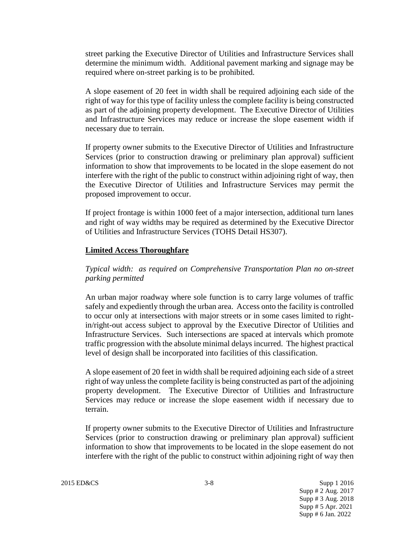street parking the Executive Director of Utilities and Infrastructure Services shall determine the minimum width. Additional pavement marking and signage may be required where on-street parking is to be prohibited.

A slope easement of 20 feet in width shall be required adjoining each side of the right of way for this type of facility unless the complete facility is being constructed as part of the adjoining property development. The Executive Director of Utilities and Infrastructure Services may reduce or increase the slope easement width if necessary due to terrain.

If property owner submits to the Executive Director of Utilities and Infrastructure Services (prior to construction drawing or preliminary plan approval) sufficient information to show that improvements to be located in the slope easement do not interfere with the right of the public to construct within adjoining right of way, then the Executive Director of Utilities and Infrastructure Services may permit the proposed improvement to occur.

If project frontage is within 1000 feet of a major intersection, additional turn lanes and right of way widths may be required as determined by the Executive Director of Utilities and Infrastructure Services (TOHS Detail HS307).

#### **Limited Access Thoroughfare**

*Typical width: as required on Comprehensive Transportation Plan no on-street parking permitted*

An urban major roadway where sole function is to carry large volumes of traffic safely and expediently through the urban area. Access onto the facility is controlled to occur only at intersections with major streets or in some cases limited to rightin/right-out access subject to approval by the Executive Director of Utilities and Infrastructure Services. Such intersections are spaced at intervals which promote traffic progression with the absolute minimal delays incurred. The highest practical level of design shall be incorporated into facilities of this classification.

A slope easement of 20 feet in width shall be required adjoining each side of a street right of way unless the complete facility is being constructed as part of the adjoining property development. The Executive Director of Utilities and Infrastructure Services may reduce or increase the slope easement width if necessary due to terrain.

If property owner submits to the Executive Director of Utilities and Infrastructure Services (prior to construction drawing or preliminary plan approval) sufficient information to show that improvements to be located in the slope easement do not interfere with the right of the public to construct within adjoining right of way then

2015 ED&CS 3-8 Supp 1 2016 Supp # 2 Aug. 2017 Supp # 3 Aug. 2018 Supp # 5 Apr. 2021 Supp # 6 Jan. 2022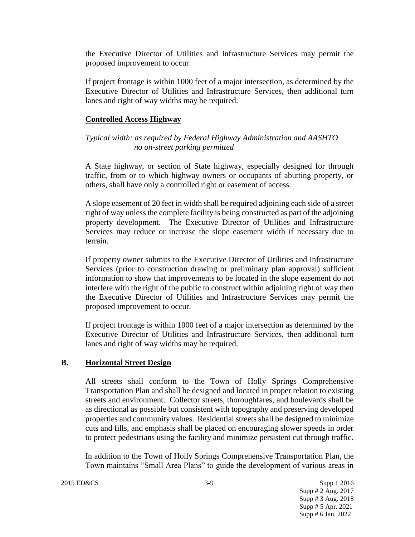the Executive Director of Utilities and Infrastructure Services may permit the proposed improvement to occur.

If project frontage is within 1000 feet of a major intersection, as determined by the Executive Director of Utilities and Infrastructure Services, then additional turn lanes and right of way widths may be required.

#### **Controlled Access Highway**

*Typical width: as required by Federal Highway Administration and AASHTO no on-street parking permitted*

A State highway, or section of State highway, especially designed for through traffic, from or to which highway owners or occupants of abutting property, or others, shall have only a controlled right or easement of access.

A slope easement of 20 feet in width shall be required adjoining each side of a street right of way unless the complete facility is being constructed as part of the adjoining property development. The Executive Director of Utilities and Infrastructure Services may reduce or increase the slope easement width if necessary due to terrain.

If property owner submits to the Executive Director of Utilities and Infrastructure Services (prior to construction drawing or preliminary plan approval) sufficient information to show that improvements to be located in the slope easement do not interfere with the right of the public to construct within adjoining right of way then the Executive Director of Utilities and Infrastructure Services may permit the proposed improvement to occur.

If project frontage is within 1000 feet of a major intersection as determined by the Executive Director of Utilities and Infrastructure Services, then additional turn lanes and right of way widths may be required.

#### **B. Horizontal Street Design**

All streets shall conform to the Town of Holly Springs Comprehensive Transportation Plan and shall be designed and located in proper relation to existing streets and environment. Collector streets, thoroughfares, and boulevards shall be as directional as possible but consistent with topography and preserving developed properties and community values. Residential streets shall be designed to minimize cuts and fills, and emphasis shall be placed on encouraging slower speeds in order to protect pedestrians using the facility and minimize persistent cut through traffic.

In addition to the Town of Holly Springs Comprehensive Transportation Plan, the Town maintains "Small Area Plans" to guide the development of various areas in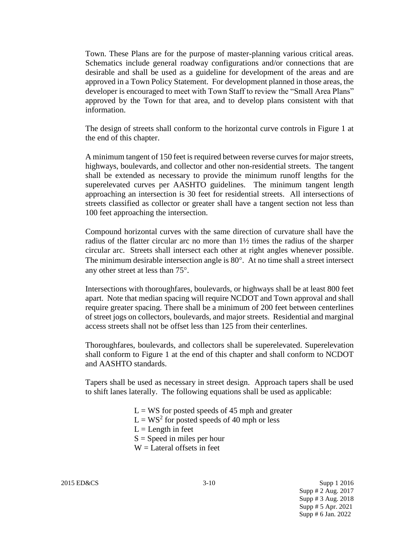Town. These Plans are for the purpose of master-planning various critical areas. Schematics include general roadway configurations and/or connections that are desirable and shall be used as a guideline for development of the areas and are approved in a Town Policy Statement. For development planned in those areas, the developer is encouraged to meet with Town Staff to review the "Small Area Plans" approved by the Town for that area, and to develop plans consistent with that information.

The design of streets shall conform to the horizontal curve controls in Figure 1 at the end of this chapter.

A minimum tangent of 150 feet is required between reverse curves for major streets, highways, boulevards, and collector and other non-residential streets. The tangent shall be extended as necessary to provide the minimum runoff lengths for the superelevated curves per AASHTO guidelines. The minimum tangent length approaching an intersection is 30 feet for residential streets. All intersections of streets classified as collector or greater shall have a tangent section not less than 100 feet approaching the intersection.

Compound horizontal curves with the same direction of curvature shall have the radius of the flatter circular arc no more than  $1\frac{1}{2}$  times the radius of the sharper circular arc. Streets shall intersect each other at right angles whenever possible. The minimum desirable intersection angle is  $80^\circ$ . At no time shall a street intersect any other street at less than 75°.

Intersections with thoroughfares, boulevards, or highways shall be at least 800 feet apart. Note that median spacing will require NCDOT and Town approval and shall require greater spacing. There shall be a minimum of 200 feet between centerlines of street jogs on collectors, boulevards, and major streets. Residential and marginal access streets shall not be offset less than 125 from their centerlines.

Thoroughfares, boulevards, and collectors shall be superelevated. Superelevation shall conform to Figure 1 at the end of this chapter and shall conform to NCDOT and AASHTO standards.

Tapers shall be used as necessary in street design. Approach tapers shall be used to shift lanes laterally. The following equations shall be used as applicable:

> $L = WS$  for posted speeds of 45 mph and greater  $L = WS<sup>2</sup>$  for posted speeds of 40 mph or less  $L =$ Length in feet  $S = Speed$  in miles per hour  $W =$ Lateral offsets in feet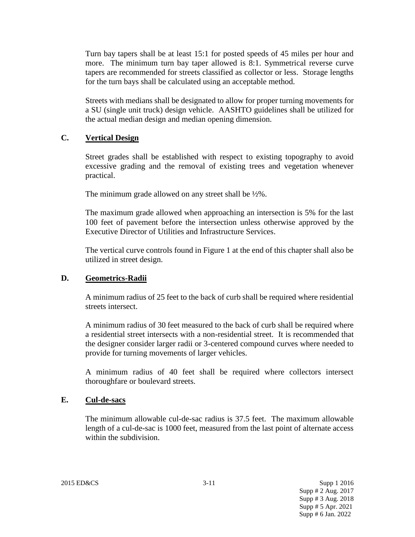Turn bay tapers shall be at least 15:1 for posted speeds of 45 miles per hour and more. The minimum turn bay taper allowed is 8:1. Symmetrical reverse curve tapers are recommended for streets classified as collector or less. Storage lengths for the turn bays shall be calculated using an acceptable method.

Streets with medians shall be designated to allow for proper turning movements for a SU (single unit truck) design vehicle. AASHTO guidelines shall be utilized for the actual median design and median opening dimension.

## **C. Vertical Design**

Street grades shall be established with respect to existing topography to avoid excessive grading and the removal of existing trees and vegetation whenever practical.

The minimum grade allowed on any street shall be  $\frac{1}{2}\%$ .

The maximum grade allowed when approaching an intersection is 5% for the last 100 feet of pavement before the intersection unless otherwise approved by the Executive Director of Utilities and Infrastructure Services.

The vertical curve controls found in Figure 1 at the end of this chapter shall also be utilized in street design.

## **D. Geometrics-Radii**

A minimum radius of 25 feet to the back of curb shall be required where residential streets intersect.

A minimum radius of 30 feet measured to the back of curb shall be required where a residential street intersects with a non-residential street. It is recommended that the designer consider larger radii or 3-centered compound curves where needed to provide for turning movements of larger vehicles.

A minimum radius of 40 feet shall be required where collectors intersect thoroughfare or boulevard streets.

#### **E. Cul-de-sacs**

The minimum allowable cul-de-sac radius is 37.5 feet. The maximum allowable length of a cul-de-sac is 1000 feet, measured from the last point of alternate access within the subdivision.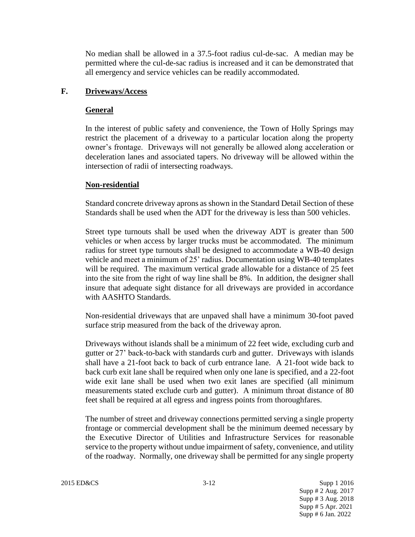No median shall be allowed in a 37.5-foot radius cul-de-sac. A median may be permitted where the cul-de-sac radius is increased and it can be demonstrated that all emergency and service vehicles can be readily accommodated.

## **F. Driveways/Access**

## **General**

In the interest of public safety and convenience, the Town of Holly Springs may restrict the placement of a driveway to a particular location along the property owner's frontage. Driveways will not generally be allowed along acceleration or deceleration lanes and associated tapers. No driveway will be allowed within the intersection of radii of intersecting roadways.

## **Non-residential**

Standard concrete driveway aprons as shown in the Standard Detail Section of these Standards shall be used when the ADT for the driveway is less than 500 vehicles.

Street type turnouts shall be used when the driveway ADT is greater than 500 vehicles or when access by larger trucks must be accommodated. The minimum radius for street type turnouts shall be designed to accommodate a WB-40 design vehicle and meet a minimum of 25' radius. Documentation using WB-40 templates will be required. The maximum vertical grade allowable for a distance of 25 feet into the site from the right of way line shall be 8%. In addition, the designer shall insure that adequate sight distance for all driveways are provided in accordance with AASHTO Standards.

Non-residential driveways that are unpaved shall have a minimum 30-foot paved surface strip measured from the back of the driveway apron.

Driveways without islands shall be a minimum of 22 feet wide, excluding curb and gutter or 27' back-to-back with standards curb and gutter. Driveways with islands shall have a 21-foot back to back of curb entrance lane. A 21-foot wide back to back curb exit lane shall be required when only one lane is specified, and a 22-foot wide exit lane shall be used when two exit lanes are specified (all minimum measurements stated exclude curb and gutter). A minimum throat distance of 80 feet shall be required at all egress and ingress points from thoroughfares.

The number of street and driveway connections permitted serving a single property frontage or commercial development shall be the minimum deemed necessary by the Executive Director of Utilities and Infrastructure Services for reasonable service to the property without undue impairment of safety, convenience, and utility of the roadway. Normally, one driveway shall be permitted for any single property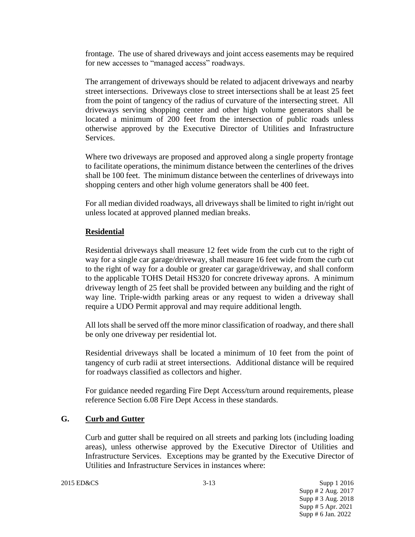frontage. The use of shared driveways and joint access easements may be required for new accesses to "managed access" roadways.

The arrangement of driveways should be related to adjacent driveways and nearby street intersections. Driveways close to street intersections shall be at least 25 feet from the point of tangency of the radius of curvature of the intersecting street. All driveways serving shopping center and other high volume generators shall be located a minimum of 200 feet from the intersection of public roads unless otherwise approved by the Executive Director of Utilities and Infrastructure Services.

Where two driveways are proposed and approved along a single property frontage to facilitate operations, the minimum distance between the centerlines of the drives shall be 100 feet. The minimum distance between the centerlines of driveways into shopping centers and other high volume generators shall be 400 feet.

For all median divided roadways, all driveways shall be limited to right in/right out unless located at approved planned median breaks.

## **Residential**

Residential driveways shall measure 12 feet wide from the curb cut to the right of way for a single car garage/driveway, shall measure 16 feet wide from the curb cut to the right of way for a double or greater car garage/driveway, and shall conform to the applicable TOHS Detail HS320 for concrete driveway aprons. A minimum driveway length of 25 feet shall be provided between any building and the right of way line. Triple-width parking areas or any request to widen a driveway shall require a UDO Permit approval and may require additional length.

All lots shall be served off the more minor classification of roadway, and there shall be only one driveway per residential lot.

Residential driveways shall be located a minimum of 10 feet from the point of tangency of curb radii at street intersections. Additional distance will be required for roadways classified as collectors and higher.

For guidance needed regarding Fire Dept Access/turn around requirements, please reference Section 6.08 Fire Dept Access in these standards.

## **G. Curb and Gutter**

Curb and gutter shall be required on all streets and parking lots (including loading areas), unless otherwise approved by the Executive Director of Utilities and Infrastructure Services. Exceptions may be granted by the Executive Director of Utilities and Infrastructure Services in instances where: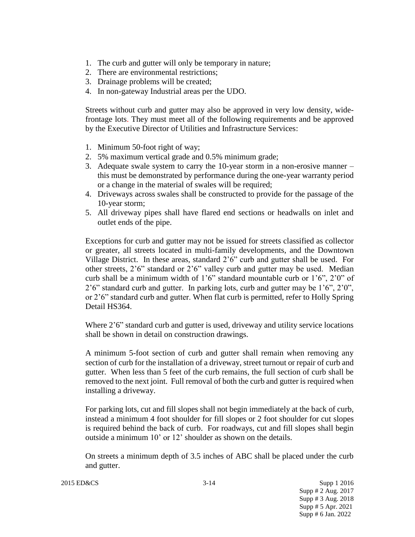- 1. The curb and gutter will only be temporary in nature;
- 2. There are environmental restrictions;
- 3. Drainage problems will be created;
- 4. In non-gateway Industrial areas per the UDO.

Streets without curb and gutter may also be approved in very low density, widefrontage lots. They must meet all of the following requirements and be approved by the Executive Director of Utilities and Infrastructure Services:

- 1. Minimum 50-foot right of way;
- 2. 5% maximum vertical grade and 0.5% minimum grade;
- 3. Adequate swale system to carry the 10-year storm in a non-erosive manner this must be demonstrated by performance during the one-year warranty period or a change in the material of swales will be required;
- 4. Driveways across swales shall be constructed to provide for the passage of the 10-year storm;
- 5. All driveway pipes shall have flared end sections or headwalls on inlet and outlet ends of the pipe.

Exceptions for curb and gutter may not be issued for streets classified as collector or greater, all streets located in multi-family developments, and the Downtown Village District. In these areas, standard 2'6" curb and gutter shall be used. For other streets, 2'6" standard or 2'6" valley curb and gutter may be used. Median curb shall be a minimum width of  $1'6''$  standard mountable curb or  $1'6''$ ,  $2'0''$  of  $2'6''$  standard curb and gutter. In parking lots, curb and gutter may be  $1'6''$ ,  $2'0''$ , or 2'6" standard curb and gutter. When flat curb is permitted, refer to Holly Spring Detail HS364.

Where 2'6" standard curb and gutter is used, driveway and utility service locations shall be shown in detail on construction drawings.

A minimum 5-foot section of curb and gutter shall remain when removing any section of curb for the installation of a driveway, street turnout or repair of curb and gutter. When less than 5 feet of the curb remains, the full section of curb shall be removed to the next joint. Full removal of both the curb and gutter is required when installing a driveway.

For parking lots, cut and fill slopes shall not begin immediately at the back of curb, instead a minimum 4 foot shoulder for fill slopes or 2 foot shoulder for cut slopes is required behind the back of curb. For roadways, cut and fill slopes shall begin outside a minimum 10' or 12' shoulder as shown on the details.

On streets a minimum depth of 3.5 inches of ABC shall be placed under the curb and gutter.

2015 ED&CS 3-14 Supp 1 2016 Supp # 2 Aug. 2017 Supp # 3 Aug. 2018 Supp # 5 Apr. 2021 Supp # 6 Jan. 2022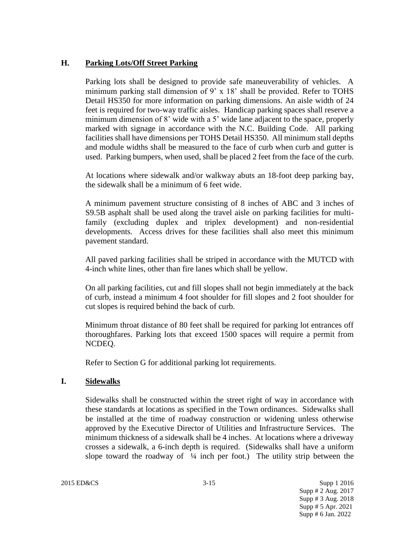## **H. Parking Lots/Off Street Parking**

Parking lots shall be designed to provide safe maneuverability of vehicles. A minimum parking stall dimension of 9' x 18' shall be provided. Refer to TOHS Detail HS350 for more information on parking dimensions. An aisle width of 24 feet is required for two-way traffic aisles. Handicap parking spaces shall reserve a minimum dimension of 8' wide with a 5' wide lane adjacent to the space, properly marked with signage in accordance with the N.C. Building Code. All parking facilities shall have dimensions per TOHS Detail HS350. All minimum stall depths and module widths shall be measured to the face of curb when curb and gutter is used. Parking bumpers, when used, shall be placed 2 feet from the face of the curb.

At locations where sidewalk and/or walkway abuts an 18-foot deep parking bay, the sidewalk shall be a minimum of 6 feet wide.

A minimum pavement structure consisting of 8 inches of ABC and 3 inches of S9.5B asphalt shall be used along the travel aisle on parking facilities for multifamily (excluding duplex and triplex development) and non-residential developments. Access drives for these facilities shall also meet this minimum pavement standard.

All paved parking facilities shall be striped in accordance with the MUTCD with 4-inch white lines, other than fire lanes which shall be yellow.

On all parking facilities, cut and fill slopes shall not begin immediately at the back of curb, instead a minimum 4 foot shoulder for fill slopes and 2 foot shoulder for cut slopes is required behind the back of curb.

Minimum throat distance of 80 feet shall be required for parking lot entrances off thoroughfares. Parking lots that exceed 1500 spaces will require a permit from NCDEQ.

Refer to Section G for additional parking lot requirements.

## **I. Sidewalks**

Sidewalks shall be constructed within the street right of way in accordance with these standards at locations as specified in the Town ordinances. Sidewalks shall be installed at the time of roadway construction or widening unless otherwise approved by the Executive Director of Utilities and Infrastructure Services. The minimum thickness of a sidewalk shall be 4 inches. At locations where a driveway crosses a sidewalk, a 6-inch depth is required. (Sidewalks shall have a uniform slope toward the roadway of  $\frac{1}{4}$  inch per foot.) The utility strip between the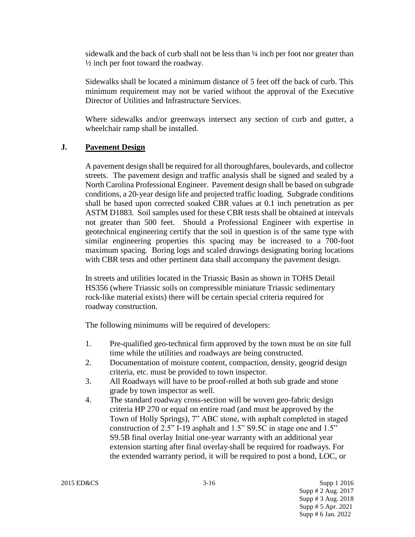sidewalk and the back of curb shall not be less than ¼ inch per foot nor greater than  $\frac{1}{2}$  inch per foot toward the roadway.

Sidewalks shall be located a minimum distance of 5 feet off the back of curb. This minimum requirement may not be varied without the approval of the Executive Director of Utilities and Infrastructure Services.

Where sidewalks and/or greenways intersect any section of curb and gutter, a wheelchair ramp shall be installed.

## **J. Pavement Design**

A pavement design shall be required for all thoroughfares, boulevards, and collector streets. The pavement design and traffic analysis shall be signed and sealed by a North Carolina Professional Engineer. Pavement design shall be based on subgrade conditions, a 20-year design life and projected traffic loading. Subgrade conditions shall be based upon corrected soaked CBR values at 0.1 inch penetration as per ASTM D1883. Soil samples used for these CBR tests shall be obtained at intervals not greater than 500 feet. Should a Professional Engineer with expertise in geotechnical engineering certify that the soil in question is of the same type with similar engineering properties this spacing may be increased to a 700-foot maximum spacing. Boring logs and scaled drawings designating boring locations with CBR tests and other pertinent data shall accompany the pavement design.

In streets and utilities located in the Triassic Basin as shown in TOHS Detail HS356 (where Triassic soils on compressible miniature Triassic sedimentary rock-like material exists) there will be certain special criteria required for roadway construction.

The following minimums will be required of developers:

- 1. Pre-qualified geo-technical firm approved by the town must be on site full time while the utilities and roadways are being constructed.
- 2. Documentation of moisture content, compaction, density, geogrid design criteria, etc. must be provided to town inspector.
- 3. All Roadways will have to be proof-rolled at both sub grade and stone grade by town inspector as well.
- 4. The standard roadway cross-section will be woven geo-fabric design criteria HP 270 or equal on entire road (and must be approved by the Town of Holly Springs), 7" ABC stone, with asphalt completed in staged construction of 2.5" I-19 asphalt and 1.5" S9.5C in stage one and 1.5" S9.5B final overlay Initial one-year warranty with an additional year extension starting after final overlay shall be required for roadways. For the extended warranty period, it will be required to post a bond, LOC, or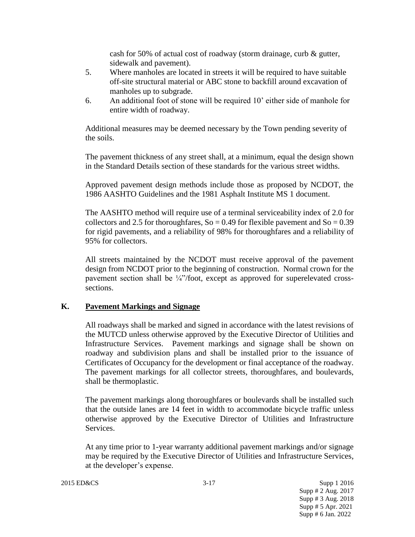cash for 50% of actual cost of roadway (storm drainage, curb & gutter, sidewalk and pavement).

- 5. Where manholes are located in streets it will be required to have suitable off-site structural material or ABC stone to backfill around excavation of manholes up to subgrade.
- 6. An additional foot of stone will be required 10' either side of manhole for entire width of roadway.

Additional measures may be deemed necessary by the Town pending severity of the soils.

The pavement thickness of any street shall, at a minimum, equal the design shown in the Standard Details section of these standards for the various street widths.

Approved pavement design methods include those as proposed by NCDOT, the 1986 AASHTO Guidelines and the 1981 Asphalt Institute MS 1 document.

The AASHTO method will require use of a terminal serviceability index of 2.0 for collectors and 2.5 for thoroughfares,  $So = 0.49$  for flexible pavement and  $So = 0.39$ for rigid pavements, and a reliability of 98% for thoroughfares and a reliability of 95% for collectors.

All streets maintained by the NCDOT must receive approval of the pavement design from NCDOT prior to the beginning of construction. Normal crown for the pavement section shall be  $\frac{1}{4}$ "/foot, except as approved for superelevated crosssections.

#### **K. Pavement Markings and Signage**

All roadways shall be marked and signed in accordance with the latest revisions of the MUTCD unless otherwise approved by the Executive Director of Utilities and Infrastructure Services. Pavement markings and signage shall be shown on roadway and subdivision plans and shall be installed prior to the issuance of Certificates of Occupancy for the development or final acceptance of the roadway. The pavement markings for all collector streets, thoroughfares, and boulevards, shall be thermoplastic.

The pavement markings along thoroughfares or boulevards shall be installed such that the outside lanes are 14 feet in width to accommodate bicycle traffic unless otherwise approved by the Executive Director of Utilities and Infrastructure Services.

At any time prior to 1-year warranty additional pavement markings and/or signage may be required by the Executive Director of Utilities and Infrastructure Services, at the developer's expense.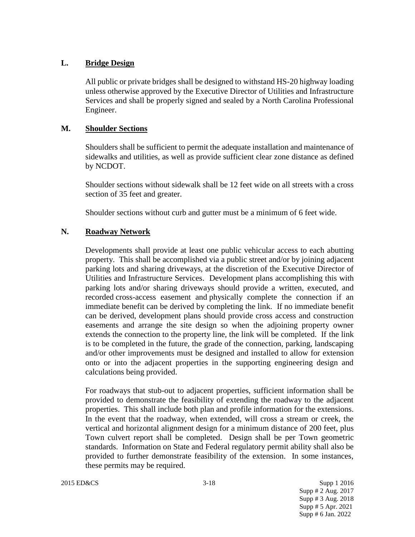## **L. Bridge Design**

All public or private bridges shall be designed to withstand HS-20 highway loading unless otherwise approved by the Executive Director of Utilities and Infrastructure Services and shall be properly signed and sealed by a North Carolina Professional Engineer.

#### **M. Shoulder Sections**

Shoulders shall be sufficient to permit the adequate installation and maintenance of sidewalks and utilities, as well as provide sufficient clear zone distance as defined by NCDOT.

Shoulder sections without sidewalk shall be 12 feet wide on all streets with a cross section of 35 feet and greater.

Shoulder sections without curb and gutter must be a minimum of 6 feet wide.

## **N. Roadway Network**

Developments shall provide at least one public vehicular access to each abutting property. This shall be accomplished via a public street and/or by joining adjacent parking lots and sharing driveways, at the discretion of the Executive Director of Utilities and Infrastructure Services. Development plans accomplishing this with parking lots and/or sharing driveways should provide a written, executed, and recorded cross-access easement and physically complete the connection if an immediate benefit can be derived by completing the link. If no immediate benefit can be derived, development plans should provide cross access and construction easements and arrange the site design so when the adjoining property owner extends the connection to the property line, the link will be completed. If the link is to be completed in the future, the grade of the connection, parking, landscaping and/or other improvements must be designed and installed to allow for extension onto or into the adjacent properties in the supporting engineering design and calculations being provided.

For roadways that stub-out to adjacent properties, sufficient information shall be provided to demonstrate the feasibility of extending the roadway to the adjacent properties. This shall include both plan and profile information for the extensions. In the event that the roadway, when extended, will cross a stream or creek, the vertical and horizontal alignment design for a minimum distance of 200 feet, plus Town culvert report shall be completed. Design shall be per Town geometric standards. Information on State and Federal regulatory permit ability shall also be provided to further demonstrate feasibility of the extension. In some instances, these permits may be required.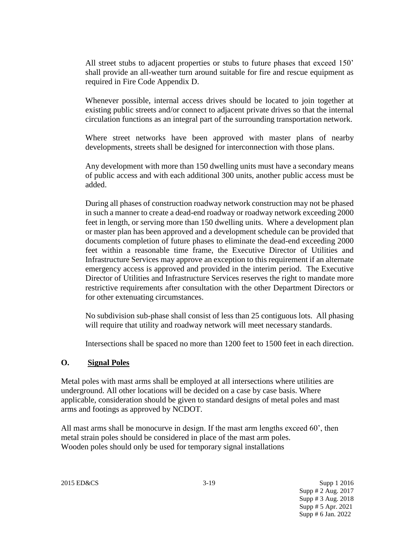All street stubs to adjacent properties or stubs to future phases that exceed 150' shall provide an all-weather turn around suitable for fire and rescue equipment as required in Fire Code Appendix D.

Whenever possible, internal access drives should be located to join together at existing public streets and/or connect to adjacent private drives so that the internal circulation functions as an integral part of the surrounding transportation network.

Where street networks have been approved with master plans of nearby developments, streets shall be designed for interconnection with those plans.

Any development with more than 150 dwelling units must have a secondary means of public access and with each additional 300 units, another public access must be added.

During all phases of construction roadway network construction may not be phased in such a manner to create a dead-end roadway or roadway network exceeding 2000 feet in length, or serving more than 150 dwelling units. Where a development plan or master plan has been approved and a development schedule can be provided that documents completion of future phases to eliminate the dead-end exceeding 2000 feet within a reasonable time frame, the Executive Director of Utilities and Infrastructure Services may approve an exception to this requirement if an alternate emergency access is approved and provided in the interim period. The Executive Director of Utilities and Infrastructure Services reserves the right to mandate more restrictive requirements after consultation with the other Department Directors or for other extenuating circumstances.

No subdivision sub-phase shall consist of less than 25 contiguous lots. All phasing will require that utility and roadway network will meet necessary standards.

Intersections shall be spaced no more than 1200 feet to 1500 feet in each direction.

#### **O. Signal Poles**

Metal poles with mast arms shall be employed at all intersections where utilities are underground. All other locations will be decided on a case by case basis. Where applicable, consideration should be given to standard designs of metal poles and mast arms and footings as approved by NCDOT.

All mast arms shall be monocurve in design. If the mast arm lengths exceed 60', then metal strain poles should be considered in place of the mast arm poles. Wooden poles should only be used for temporary signal installations

2015 ED&CS 3-19 Supp 1 2016 Supp # 2 Aug. 2017 Supp # 3 Aug. 2018 Supp # 5 Apr. 2021 Supp # 6 Jan. 2022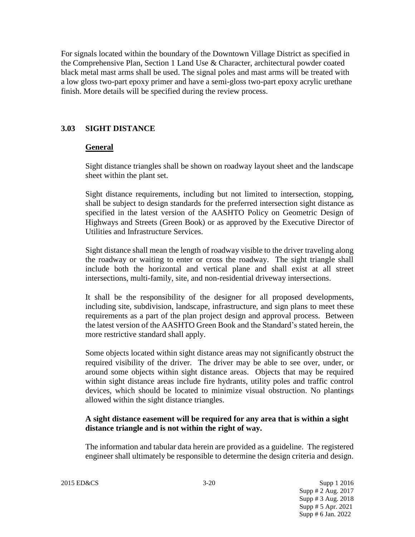For signals located within the boundary of the Downtown Village District as specified in the Comprehensive Plan, Section 1 Land Use & Character, architectural powder coated black metal mast arms shall be used. The signal poles and mast arms will be treated with a low gloss two-part epoxy primer and have a semi-gloss two-part epoxy acrylic urethane finish. More details will be specified during the review process.

## **3.03 SIGHT DISTANCE**

#### **General**

Sight distance triangles shall be shown on roadway layout sheet and the landscape sheet within the plant set.

Sight distance requirements, including but not limited to intersection, stopping, shall be subject to design standards for the preferred intersection sight distance as specified in the latest version of the AASHTO Policy on Geometric Design of Highways and Streets (Green Book) or as approved by the Executive Director of Utilities and Infrastructure Services.

Sight distance shall mean the length of roadway visible to the driver traveling along the roadway or waiting to enter or cross the roadway. The sight triangle shall include both the horizontal and vertical plane and shall exist at all street intersections, multi-family, site, and non-residential driveway intersections.

It shall be the responsibility of the designer for all proposed developments, including site, subdivision, landscape, infrastructure, and sign plans to meet these requirements as a part of the plan project design and approval process. Between the latest version of the AASHTO Green Book and the Standard's stated herein, the more restrictive standard shall apply.

Some objects located within sight distance areas may not significantly obstruct the required visibility of the driver. The driver may be able to see over, under, or around some objects within sight distance areas. Objects that may be required within sight distance areas include fire hydrants, utility poles and traffic control devices, which should be located to minimize visual obstruction. No plantings allowed within the sight distance triangles.

#### **A sight distance easement will be required for any area that is within a sight distance triangle and is not within the right of way.**

The information and tabular data herein are provided as a guideline. The registered engineer shall ultimately be responsible to determine the design criteria and design.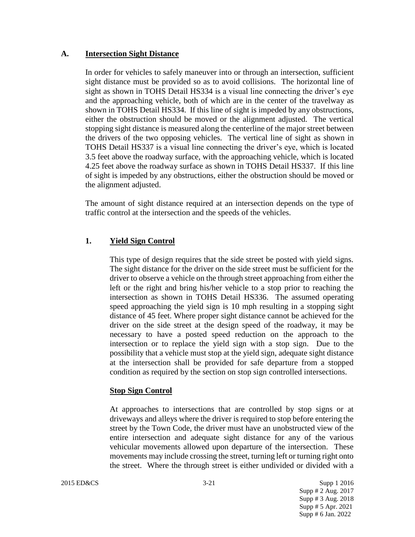#### **A. Intersection Sight Distance**

In order for vehicles to safely maneuver into or through an intersection, sufficient sight distance must be provided so as to avoid collisions. The horizontal line of sight as shown in TOHS Detail HS334 is a visual line connecting the driver's eye and the approaching vehicle, both of which are in the center of the travelway as shown in TOHS Detail HS334. If this line of sight is impeded by any obstructions, either the obstruction should be moved or the alignment adjusted. The vertical stopping sight distance is measured along the centerline of the major street between the drivers of the two opposing vehicles. The vertical line of sight as shown in TOHS Detail HS337 is a visual line connecting the driver's eye, which is located 3.5 feet above the roadway surface, with the approaching vehicle, which is located 4.25 feet above the roadway surface as shown in TOHS Detail HS337. If this line of sight is impeded by any obstructions, either the obstruction should be moved or the alignment adjusted.

The amount of sight distance required at an intersection depends on the type of traffic control at the intersection and the speeds of the vehicles.

## **1. Yield Sign Control**

This type of design requires that the side street be posted with yield signs. The sight distance for the driver on the side street must be sufficient for the driver to observe a vehicle on the through street approaching from either the left or the right and bring his/her vehicle to a stop prior to reaching the intersection as shown in TOHS Detail HS336. The assumed operating speed approaching the yield sign is 10 mph resulting in a stopping sight distance of 45 feet. Where proper sight distance cannot be achieved for the driver on the side street at the design speed of the roadway, it may be necessary to have a posted speed reduction on the approach to the intersection or to replace the yield sign with a stop sign. Due to the possibility that a vehicle must stop at the yield sign, adequate sight distance at the intersection shall be provided for safe departure from a stopped condition as required by the section on stop sign controlled intersections.

#### **Stop Sign Control**

At approaches to intersections that are controlled by stop signs or at driveways and alleys where the driver is required to stop before entering the street by the Town Code, the driver must have an unobstructed view of the entire intersection and adequate sight distance for any of the various vehicular movements allowed upon departure of the intersection. These movements may include crossing the street, turning left or turning right onto the street. Where the through street is either undivided or divided with a

2015 ED&CS 3-21 Supp 1 2016 Supp # 2 Aug. 2017 Supp # 3 Aug. 2018 Supp # 5 Apr. 2021 Supp # 6 Jan. 2022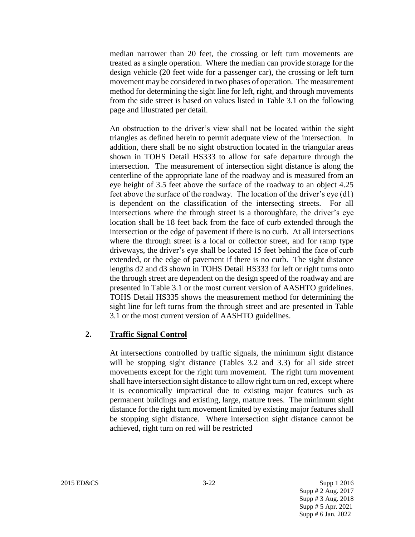median narrower than 20 feet, the crossing or left turn movements are treated as a single operation. Where the median can provide storage for the design vehicle (20 feet wide for a passenger car), the crossing or left turn movement may be considered in two phases of operation. The measurement method for determining the sight line for left, right, and through movements from the side street is based on values listed in Table 3.1 on the following page and illustrated per detail.

An obstruction to the driver's view shall not be located within the sight triangles as defined herein to permit adequate view of the intersection. In addition, there shall be no sight obstruction located in the triangular areas shown in TOHS Detail HS333 to allow for safe departure through the intersection. The measurement of intersection sight distance is along the centerline of the appropriate lane of the roadway and is measured from an eye height of 3.5 feet above the surface of the roadway to an object 4.25 feet above the surface of the roadway. The location of the driver's eye (d1) is dependent on the classification of the intersecting streets. For all intersections where the through street is a thoroughfare, the driver's eye location shall be 18 feet back from the face of curb extended through the intersection or the edge of pavement if there is no curb. At all intersections where the through street is a local or collector street, and for ramp type driveways, the driver's eye shall be located 15 feet behind the face of curb extended, or the edge of pavement if there is no curb. The sight distance lengths d2 and d3 shown in TOHS Detail HS333 for left or right turns onto the through street are dependent on the design speed of the roadway and are presented in Table 3.1 or the most current version of AASHTO guidelines. TOHS Detail HS335 shows the measurement method for determining the sight line for left turns from the through street and are presented in Table 3.1 or the most current version of AASHTO guidelines.

#### **2. Traffic Signal Control**

At intersections controlled by traffic signals, the minimum sight distance will be stopping sight distance (Tables 3.2 and 3.3) for all side street movements except for the right turn movement. The right turn movement shall have intersection sight distance to allow right turn on red, except where it is economically impractical due to existing major features such as permanent buildings and existing, large, mature trees. The minimum sight distance for the right turn movement limited by existing major features shall be stopping sight distance. Where intersection sight distance cannot be achieved, right turn on red will be restricted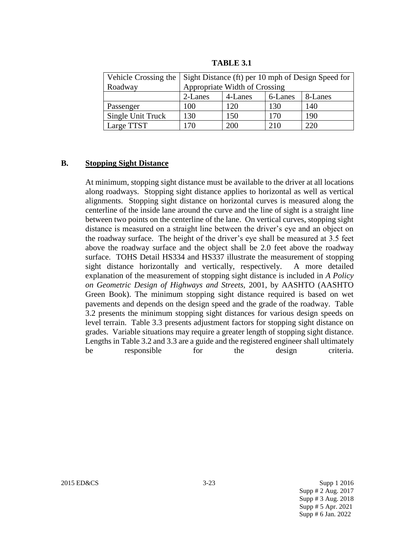| Vehicle Crossing the | Sight Distance (ft) per 10 mph of Design Speed for |         |         |         |  |
|----------------------|----------------------------------------------------|---------|---------|---------|--|
| Roadway              | Appropriate Width of Crossing                      |         |         |         |  |
|                      | 2-Lanes                                            | 4-Lanes | 6-Lanes | 8-Lanes |  |
| Passenger            | 100                                                | 120     | 130     | 140     |  |
| Single Unit Truck    | 130                                                | 150     | 170     | 190     |  |
| Large TTST           | 170                                                | 200     | 210     | 220     |  |

**TABLE 3.1**

#### **B. Stopping Sight Distance**

At minimum, stopping sight distance must be available to the driver at all locations along roadways. Stopping sight distance applies to horizontal as well as vertical alignments. Stopping sight distance on horizontal curves is measured along the centerline of the inside lane around the curve and the line of sight is a straight line between two points on the centerline of the lane. On vertical curves, stopping sight distance is measured on a straight line between the driver's eye and an object on the roadway surface. The height of the driver's eye shall be measured at 3.5 feet above the roadway surface and the object shall be 2.0 feet above the roadway surface. TOHS Detail HS334 and HS337 illustrate the measurement of stopping sight distance horizontally and vertically, respectively. A more detailed explanation of the measurement of stopping sight distance is included in *A Policy on Geometric Design of Highways and Streets,* 2001, by AASHTO (AASHTO Green Book). The minimum stopping sight distance required is based on wet pavements and depends on the design speed and the grade of the roadway. Table 3.2 presents the minimum stopping sight distances for various design speeds on level terrain. Table 3.3 presents adjustment factors for stopping sight distance on grades. Variable situations may require a greater length of stopping sight distance. Lengths in Table 3.2 and 3.3 are a guide and the registered engineer shall ultimately be responsible for the design criteria.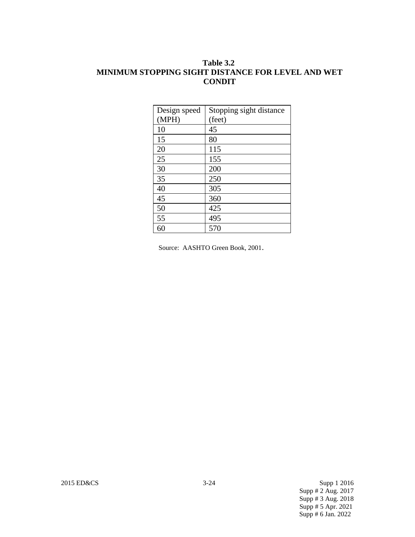## **Table 3.2 MINIMUM STOPPING SIGHT DISTANCE FOR LEVEL AND WET CONDIT**

| Design speed<br>(MPH) | Stopping sight distance<br>(feet) |
|-----------------------|-----------------------------------|
| 10                    | 45                                |
| 15                    | 80                                |
| 20                    | 115                               |
| 25                    | 155                               |
| 30                    | 200                               |
| 35                    | 250                               |
| 40                    | 305                               |
| 45                    | 360                               |
| 50                    | 425                               |
| 55                    | 495                               |
| 60                    | 570                               |

Source: AASHTO Green Book, 2001.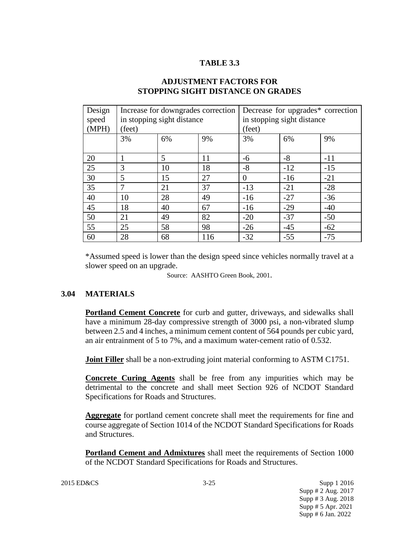## **TABLE 3.3**

| Design<br>speed<br>(MPH) | Increase for downgrades correction<br>in stopping sight distance<br>(feet) |    |     | Decrease for upgrades* correction<br>in stopping sight distance<br>(feet) |       |       |
|--------------------------|----------------------------------------------------------------------------|----|-----|---------------------------------------------------------------------------|-------|-------|
|                          | 3%                                                                         | 6% | 9%  | 3%                                                                        | 6%    | 9%    |
| 20                       | 1                                                                          | 5  | 11  | -6                                                                        | $-8$  | $-11$ |
| 25                       | 3                                                                          | 10 | 18  | $-8$                                                                      | $-12$ | $-15$ |
| 30                       | 5                                                                          | 15 | 27  | $\theta$                                                                  | $-16$ | $-21$ |
| 35                       | $\tau$                                                                     | 21 | 37  | $-13$                                                                     | $-21$ | $-28$ |
| 40                       | 10                                                                         | 28 | 49  | $-16$                                                                     | $-27$ | $-36$ |
| 45                       | 18                                                                         | 40 | 67  | $-16$                                                                     | $-29$ | $-40$ |
| 50                       | 21                                                                         | 49 | 82  | $-20$                                                                     | $-37$ | $-50$ |
| 55                       | 25                                                                         | 58 | 98  | $-26$                                                                     | $-45$ | $-62$ |
| 60                       | 28                                                                         | 68 | 116 | $-32$                                                                     | $-55$ | $-75$ |

## **ADJUSTMENT FACTORS FOR STOPPING SIGHT DISTANCE ON GRADES**

\*Assumed speed is lower than the design speed since vehicles normally travel at a slower speed on an upgrade.

Source: AASHTO Green Book, 2001.

## **3.04 MATERIALS**

**Portland Cement Concrete** for curb and gutter, driveways, and sidewalks shall have a minimum 28-day compressive strength of 3000 psi, a non-vibrated slump between 2.5 and 4 inches, a minimum cement content of 564 pounds per cubic yard, an air entrainment of 5 to 7%, and a maximum water-cement ratio of 0.532.

**Joint Filler** shall be a non-extruding joint material conforming to ASTM C1751.

**Concrete Curing Agents** shall be free from any impurities which may be detrimental to the concrete and shall meet Section 926 of NCDOT Standard Specifications for Roads and Structures.

**Aggregate** for portland cement concrete shall meet the requirements for fine and course aggregate of Section 1014 of the NCDOT Standard Specifications for Roads and Structures.

**Portland Cement and Admixtures** shall meet the requirements of Section 1000 of the NCDOT Standard Specifications for Roads and Structures.

2015 ED&CS 3-25 Supp 1 2016 Supp # 2 Aug. 2017 Supp # 3 Aug. 2018 Supp # 5 Apr. 2021 Supp # 6 Jan. 2022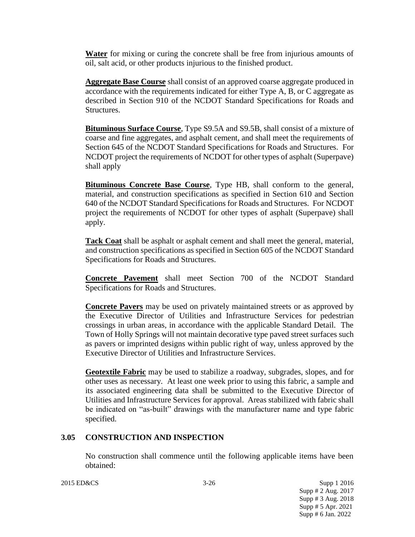**Water** for mixing or curing the concrete shall be free from injurious amounts of oil, salt acid, or other products injurious to the finished product.

**Aggregate Base Course** shall consist of an approved coarse aggregate produced in accordance with the requirements indicated for either Type A, B, or C aggregate as described in Section 910 of the NCDOT Standard Specifications for Roads and Structures.

**Bituminous Surface Course**, Type S9.5A and S9.5B, shall consist of a mixture of coarse and fine aggregates, and asphalt cement, and shall meet the requirements of Section 645 of the NCDOT Standard Specifications for Roads and Structures. For NCDOT project the requirements of NCDOT for other types of asphalt (Superpave) shall apply

**Bituminous Concrete Base Course**, Type HB, shall conform to the general, material, and construction specifications as specified in Section 610 and Section 640 of the NCDOT Standard Specifications for Roads and Structures. For NCDOT project the requirements of NCDOT for other types of asphalt (Superpave) shall apply.

**Tack Coat** shall be asphalt or asphalt cement and shall meet the general, material, and construction specifications as specified in Section 605 of the NCDOT Standard Specifications for Roads and Structures.

**Concrete Pavement** shall meet Section 700 of the NCDOT Standard Specifications for Roads and Structures.

**Concrete Pavers** may be used on privately maintained streets or as approved by the Executive Director of Utilities and Infrastructure Services for pedestrian crossings in urban areas, in accordance with the applicable Standard Detail. The Town of Holly Springs will not maintain decorative type paved street surfaces such as pavers or imprinted designs within public right of way, unless approved by the Executive Director of Utilities and Infrastructure Services.

**Geotextile Fabric** may be used to stabilize a roadway, subgrades, slopes, and for other uses as necessary. At least one week prior to using this fabric, a sample and its associated engineering data shall be submitted to the Executive Director of Utilities and Infrastructure Services for approval. Areas stabilized with fabric shall be indicated on "as-built" drawings with the manufacturer name and type fabric specified.

## **3.05 CONSTRUCTION AND INSPECTION**

No construction shall commence until the following applicable items have been obtained:

2015 ED&CS 3-26 Supp 1 2016 Supp # 2 Aug. 2017 Supp # 3 Aug. 2018 Supp # 5 Apr. 2021 Supp # 6 Jan. 2022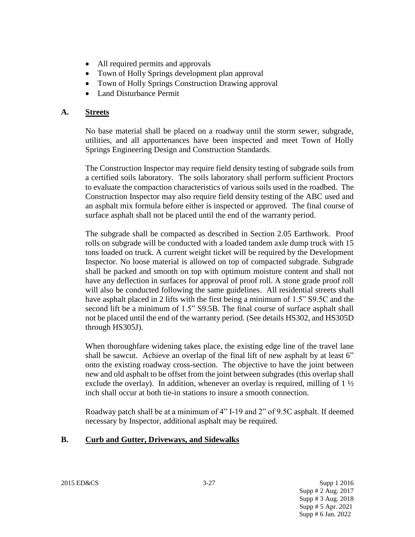- All required permits and approvals
- Town of Holly Springs development plan approval
- Town of Holly Springs Construction Drawing approval
- Land Disturbance Permit

## **A. Streets**

No base material shall be placed on a roadway until the storm sewer, subgrade, utilities, and all appurtenances have been inspected and meet Town of Holly Springs Engineering Design and Construction Standards.

The Construction Inspector may require field density testing of subgrade soils from a certified soils laboratory. The soils laboratory shall perform sufficient Proctors to evaluate the compaction characteristics of various soils used in the roadbed. The Construction Inspector may also require field density testing of the ABC used and an asphalt mix formula before either is inspected or approved. The final course of surface asphalt shall not be placed until the end of the warranty period.

The subgrade shall be compacted as described in Section 2.05 Earthwork. Proof rolls on subgrade will be conducted with a loaded tandem axle dump truck with 15 tons loaded on truck. A current weight ticket will be required by the Development Inspector. No loose material is allowed on top of compacted subgrade. Subgrade shall be packed and smooth on top with optimum moisture content and shall not have any deflection in surfaces for approval of proof roll. A stone grade proof roll will also be conducted following the same guidelines. All residential streets shall have asphalt placed in 2 lifts with the first being a minimum of 1.5" S9.5C and the second lift be a minimum of 1.5" S9.5B. The final course of surface asphalt shall not be placed until the end of the warranty period. (See details HS302, and HS305D through HS305J).

When thoroughfare widening takes place, the existing edge line of the travel lane shall be sawcut. Achieve an overlap of the final lift of new asphalt by at least 6" onto the existing roadway cross-section. The objective to have the joint between new and old asphalt to be offset from the joint between subgrades (this overlap shall exclude the overlay). In addition, whenever an overlay is required, milling of  $1\frac{1}{2}$ inch shall occur at both tie-in stations to insure a smooth connection.

Roadway patch shall be at a minimum of 4" I-19 and 2" of 9.5C asphalt. If deemed necessary by Inspector, additional asphalt may be required.

## **B. Curb and Gutter, Driveways, and Sidewalks**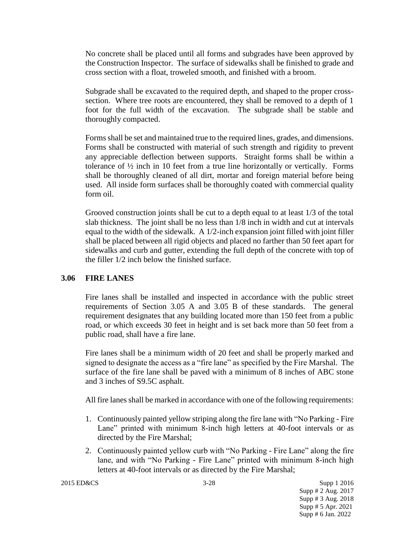No concrete shall be placed until all forms and subgrades have been approved by the Construction Inspector. The surface of sidewalks shall be finished to grade and cross section with a float, troweled smooth, and finished with a broom.

Subgrade shall be excavated to the required depth, and shaped to the proper crosssection. Where tree roots are encountered, they shall be removed to a depth of 1 foot for the full width of the excavation. The subgrade shall be stable and thoroughly compacted.

Forms shall be set and maintained true to the required lines, grades, and dimensions. Forms shall be constructed with material of such strength and rigidity to prevent any appreciable deflection between supports. Straight forms shall be within a tolerance of ½ inch in 10 feet from a true line horizontally or vertically. Forms shall be thoroughly cleaned of all dirt, mortar and foreign material before being used. All inside form surfaces shall be thoroughly coated with commercial quality form oil.

Grooved construction joints shall be cut to a depth equal to at least 1/3 of the total slab thickness. The joint shall be no less than 1/8 inch in width and cut at intervals equal to the width of the sidewalk. A 1/2-inch expansion joint filled with joint filler shall be placed between all rigid objects and placed no farther than 50 feet apart for sidewalks and curb and gutter, extending the full depth of the concrete with top of the filler 1/2 inch below the finished surface.

#### **3.06 FIRE LANES**

Fire lanes shall be installed and inspected in accordance with the public street requirements of Section 3.05 A and 3.05 B of these standards. The general requirement designates that any building located more than 150 feet from a public road, or which exceeds 30 feet in height and is set back more than 50 feet from a public road, shall have a fire lane.

Fire lanes shall be a minimum width of 20 feet and shall be properly marked and signed to designate the access as a "fire lane" as specified by the Fire Marshal. The surface of the fire lane shall be paved with a minimum of 8 inches of ABC stone and 3 inches of S9.5C asphalt.

All fire lanes shall be marked in accordance with one of the following requirements:

- 1. Continuously painted yellow striping along the fire lane with "No Parking Fire Lane" printed with minimum 8-inch high letters at 40-foot intervals or as directed by the Fire Marshal;
- 2. Continuously painted yellow curb with "No Parking Fire Lane" along the fire lane, and with "No Parking - Fire Lane" printed with minimum 8-inch high letters at 40-foot intervals or as directed by the Fire Marshal;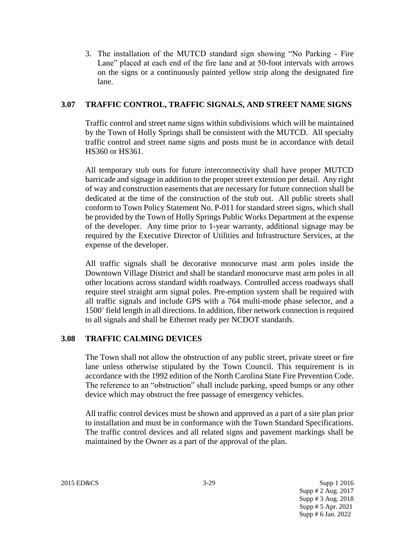3. The installation of the MUTCD standard sign showing "No Parking - Fire Lane" placed at each end of the fire lane and at 50-foot intervals with arrows on the signs or a continuously painted yellow strip along the designated fire lane.

## **3.07 TRAFFIC CONTROL, TRAFFIC SIGNALS, AND STREET NAME SIGNS**

Traffic control and street name signs within subdivisions which will be maintained by the Town of Holly Springs shall be consistent with the MUTCD. All specialty traffic control and street name signs and posts must be in accordance with detail HS360 or HS361.

All temporary stub outs for future interconnectivity shall have proper MUTCD barricade and signage in addition to the proper street extension per detail. Any right of way and construction easements that are necessary for future connection shall be dedicated at the time of the construction of the stub out. All public streets shall conform to Town Policy Statement No. P-011 for standard street signs, which shall be provided by the Town of Holly Springs Public Works Department at the expense of the developer. Any time prior to 1-year warranty, additional signage may be required by the Executive Director of Utilities and Infrastructure Services, at the expense of the developer.

All traffic signals shall be decorative monocurve mast arm poles inside the Downtown Village District and shall be standard monocurve mast arm poles in all other locations across standard width roadways. Controlled access roadways shall require steel straight arm signal poles. Pre-emption system shall be required with all traffic signals and include GPS with a 764 multi-mode phase selector, and a 1500' field length in all directions. In addition, fiber network connection is required to all signals and shall be Ethernet ready per NCDOT standards.

## **3.08 TRAFFIC CALMING DEVICES**

The Town shall not allow the obstruction of any public street, private street or fire lane unless otherwise stipulated by the Town Council. This requirement is in accordance with the 1992 edition of the North Carolina State Fire Prevention Code. The reference to an "obstruction" shall include parking, speed bumps or any other device which may obstruct the free passage of emergency vehicles.

All traffic control devices must be shown and approved as a part of a site plan prior to installation and must be in conformance with the Town Standard Specifications. The traffic control devices and all related signs and pavement markings shall be maintained by the Owner as a part of the approval of the plan.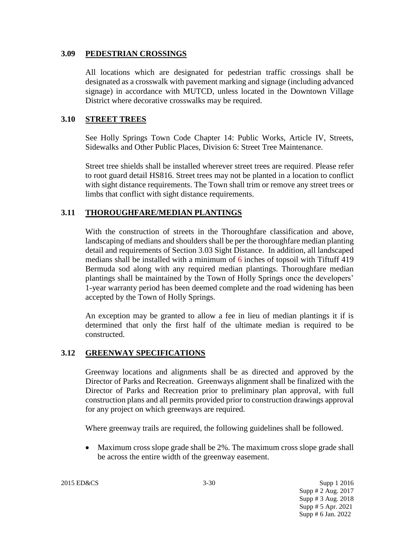#### **3.09 PEDESTRIAN CROSSINGS**

All locations which are designated for pedestrian traffic crossings shall be designated as a crosswalk with pavement marking and signage (including advanced signage) in accordance with MUTCD, unless located in the Downtown Village District where decorative crosswalks may be required.

## **3.10 STREET TREES**

See Holly Springs Town Code Chapter 14: Public Works, Article IV, Streets, Sidewalks and Other Public Places, Division 6: Street Tree Maintenance.

Street tree shields shall be installed wherever street trees are required. Please refer to root guard detail HS816. Street trees may not be planted in a location to conflict with sight distance requirements. The Town shall trim or remove any street trees or limbs that conflict with sight distance requirements.

## **3.11 THOROUGHFARE/MEDIAN PLANTINGS**

With the construction of streets in the Thoroughfare classification and above, landscaping of medians and shoulders shall be per the thoroughfare median planting detail and requirements of Section 3.03 Sight Distance. In addition, all landscaped medians shall be installed with a minimum of 6 inches of topsoil with Tiftuff 419 Bermuda sod along with any required median plantings. Thoroughfare median plantings shall be maintained by the Town of Holly Springs once the developers' 1-year warranty period has been deemed complete and the road widening has been accepted by the Town of Holly Springs.

An exception may be granted to allow a fee in lieu of median plantings it if is determined that only the first half of the ultimate median is required to be constructed.

## **3.12 GREENWAY SPECIFICATIONS**

Greenway locations and alignments shall be as directed and approved by the Director of Parks and Recreation. Greenways alignment shall be finalized with the Director of Parks and Recreation prior to preliminary plan approval, with full construction plans and all permits provided prior to construction drawings approval for any project on which greenways are required.

Where greenway trails are required, the following guidelines shall be followed.

• Maximum cross slope grade shall be 2%. The maximum cross slope grade shall be across the entire width of the greenway easement.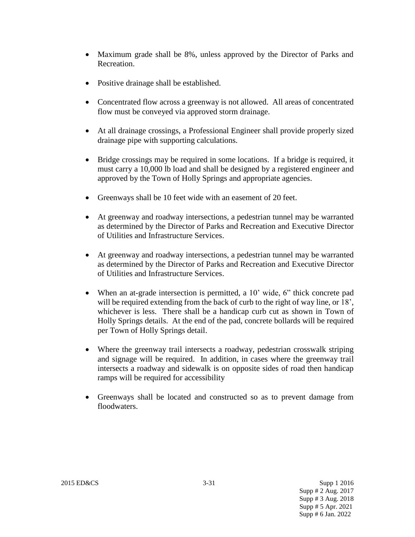- Maximum grade shall be 8%, unless approved by the Director of Parks and Recreation.
- Positive drainage shall be established.
- Concentrated flow across a greenway is not allowed. All areas of concentrated flow must be conveyed via approved storm drainage.
- At all drainage crossings, a Professional Engineer shall provide properly sized drainage pipe with supporting calculations.
- Bridge crossings may be required in some locations. If a bridge is required, it must carry a 10,000 lb load and shall be designed by a registered engineer and approved by the Town of Holly Springs and appropriate agencies.
- Greenways shall be 10 feet wide with an easement of 20 feet.
- At greenway and roadway intersections, a pedestrian tunnel may be warranted as determined by the Director of Parks and Recreation and Executive Director of Utilities and Infrastructure Services.
- At greenway and roadway intersections, a pedestrian tunnel may be warranted as determined by the Director of Parks and Recreation and Executive Director of Utilities and Infrastructure Services.
- When an at-grade intersection is permitted, a 10' wide, 6" thick concrete pad will be required extending from the back of curb to the right of way line, or 18', whichever is less. There shall be a handicap curb cut as shown in Town of Holly Springs details. At the end of the pad, concrete bollards will be required per Town of Holly Springs detail.
- Where the greenway trail intersects a roadway, pedestrian crosswalk striping and signage will be required. In addition, in cases where the greenway trail intersects a roadway and sidewalk is on opposite sides of road then handicap ramps will be required for accessibility
- Greenways shall be located and constructed so as to prevent damage from floodwaters.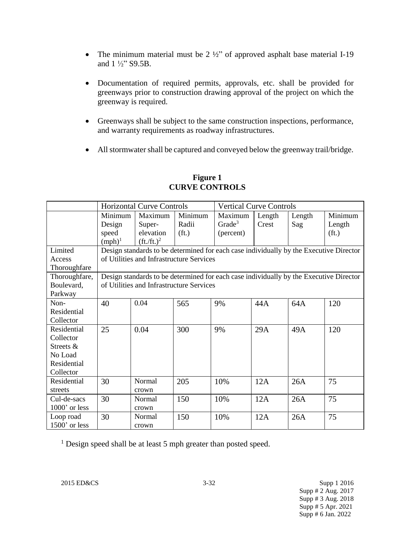- The minimum material must be  $2 \frac{1}{2}$  of approved asphalt base material I-19 and 1 ½" S9.5B.
- Documentation of required permits, approvals, etc. shall be provided for greenways prior to construction drawing approval of the project on which the greenway is required.
- Greenways shall be subject to the same construction inspections, performance, and warranty requirements as roadway infrastructures.
- All stormwater shall be captured and conveyed below the greenway trail/bridge.

|                 | <b>Horizontal Curve Controls</b>                                                       |                                                                                        |                   | <b>Vertical Curve Controls</b> |        |        |                   |
|-----------------|----------------------------------------------------------------------------------------|----------------------------------------------------------------------------------------|-------------------|--------------------------------|--------|--------|-------------------|
|                 | Minimum                                                                                | Maximum                                                                                | Minimum           | Maximum                        | Length | Length | Minimum           |
|                 | Design                                                                                 | Super-                                                                                 | Radii             | Grade <sup>3</sup>             | Crest  | Sag    | Length            |
|                 | speed                                                                                  | elevation                                                                              | (f <sub>t</sub> ) | (percent)                      |        |        | (f <sub>t</sub> ) |
|                 | $(mph)^1$                                                                              | $({\rm ft.}/{\rm ft.})^2$                                                              |                   |                                |        |        |                   |
| Limited         | Design standards to be determined for each case individually by the Executive Director |                                                                                        |                   |                                |        |        |                   |
| Access          | of Utilities and Infrastructure Services                                               |                                                                                        |                   |                                |        |        |                   |
| Thoroughfare    |                                                                                        |                                                                                        |                   |                                |        |        |                   |
| Thoroughfare,   |                                                                                        | Design standards to be determined for each case individually by the Executive Director |                   |                                |        |        |                   |
| Boulevard,      |                                                                                        | of Utilities and Infrastructure Services                                               |                   |                                |        |        |                   |
| Parkway         |                                                                                        |                                                                                        |                   |                                |        |        |                   |
| Non-            | 40                                                                                     | 0.04                                                                                   | 565               | 9%                             | 44A    | 64A    | 120               |
| Residential     |                                                                                        |                                                                                        |                   |                                |        |        |                   |
| Collector       |                                                                                        |                                                                                        |                   |                                |        |        |                   |
| Residential     | 25                                                                                     | 0.04                                                                                   | 300               | 9%                             | 29A    | 49A    | 120               |
| Collector       |                                                                                        |                                                                                        |                   |                                |        |        |                   |
| Streets &       |                                                                                        |                                                                                        |                   |                                |        |        |                   |
| No Load         |                                                                                        |                                                                                        |                   |                                |        |        |                   |
| Residential     |                                                                                        |                                                                                        |                   |                                |        |        |                   |
| Collector       |                                                                                        |                                                                                        |                   |                                |        |        |                   |
| Residential     | 30                                                                                     | Normal                                                                                 | 205               | 10%                            | 12A    | 26A    | 75                |
| streets         |                                                                                        | crown                                                                                  |                   |                                |        |        |                   |
| Cul-de-sacs     | 30                                                                                     | Normal                                                                                 | 150               | 10%                            | 12A    | 26A    | 75                |
| $1000'$ or less |                                                                                        | crown                                                                                  |                   |                                |        |        |                   |
| Loop road       | 30                                                                                     | Normal                                                                                 | 150               | 10%                            | 12A    | 26A    | 75                |
| 1500' or less   |                                                                                        | crown                                                                                  |                   |                                |        |        |                   |

#### **Figure 1 CURVE CONTROLS**

<sup>1</sup> Design speed shall be at least 5 mph greater than posted speed.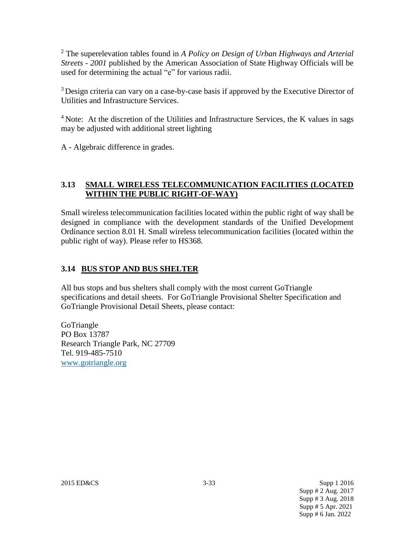<sup>2</sup> The superelevation tables found in *A Policy on Design of Urban Highways and Arterial Streets - 2001* published by the American Association of State Highway Officials will be used for determining the actual "e" for various radii.

<sup>3</sup> Design criteria can vary on a case-by-case basis if approved by the Executive Director of Utilities and Infrastructure Services.

<sup>4</sup> Note: At the discretion of the Utilities and Infrastructure Services, the K values in sags may be adjusted with additional street lighting

A - Algebraic difference in grades.

# **3.13 SMALL WIRELESS TELECOMMUNICATION FACILITIES (LOCATED WITHIN THE PUBLIC RIGHT-OF-WAY)**

Small wireless telecommunication facilities located within the public right of way shall be designed in compliance with the development standards of the Unified Development Ordinance section 8.01 H. Small wireless telecommunication facilities (located within the public right of way). Please refer to HS368.

# **3.14 BUS STOP AND BUS SHELTER**

All bus stops and bus shelters shall comply with the most current GoTriangle specifications and detail sheets. For GoTriangle Provisional Shelter Specification and GoTriangle Provisional Detail Sheets, please contact:

GoTriangle PO Box 13787 Research Triangle Park, NC 27709 Tel. 919-485-7510 [www.gotriangle.org](http://www.gotriangle.org/)